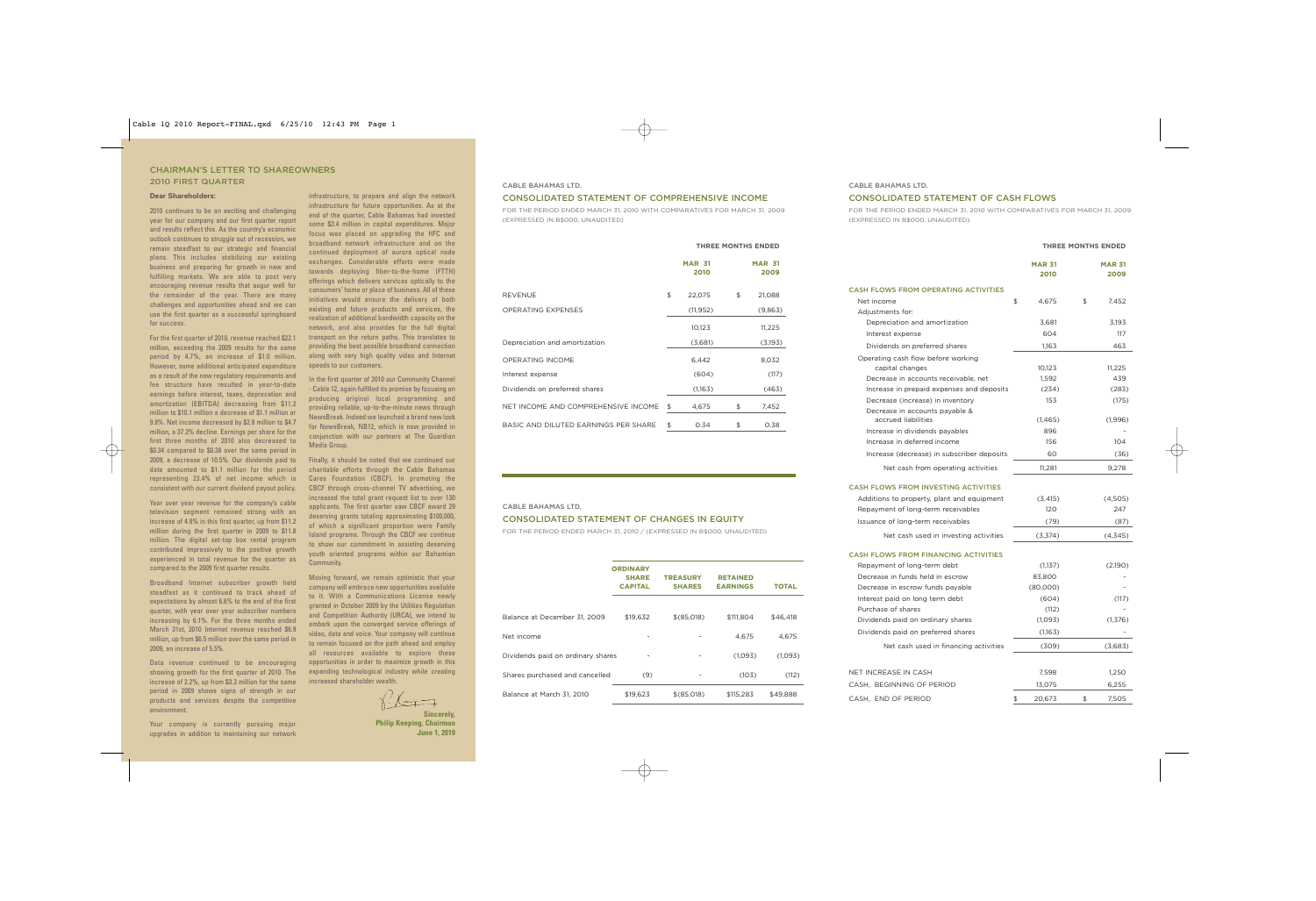## CHAIRMAN'S LETTER TO SHAREOWNERS 2010 FIRST QUARTER

### **Dear Shareholders:**

2010 continues to be an exciting and challenging year for our company and our first quarter report and results reflect this. As the country's economic outlook continues to struggle out of recession, we remain steadfast to our strategic and financial plans. This includes stabilizing our existing business and preparing for growth in new and fulfilling markets. We are able to post very encouraging revenue results that augur well for the remainder of the year. There are many challenges and opportunities ahead and we can use the first quarter as a successful springboard for success.

For the first quarter of 2010, revenue reached \$22.1 million, exceeding the 2009 results for the same period by 4.7%, an increase of \$1.0 million. However, some additional anticipated expenditure as a result of the new regulatory requirements and fee structure have resulted in year-to-date earnings before interest, taxes, deprecation and amortization (EBITDA) decreasing from \$11.2 million to \$10.1 million a decrease of \$1.1 million or 9.8%. Net income decreased by \$2.8 million to \$4.7 million, a 37.3% decline. Earnings per share for the first three months of 2010 also decreased to \$0.34 compared to \$0.38 over the same period in 2009, a decrease of 10.5%. Our dividends paid to date amounted to \$1.1 million for the period representing 23.4% of net income which is consistent with our current dividend payout policy.

Year over year revenue for the company's cable television segment remained strong with an increase of 4.9% in this first quarter, up from \$11.2 million during the first quarter in 2009 to \$11.8 million. The digital set-top box rental program contributed impressively to the positive growth experienced in total revenue for the quarter as compared to the 2009 first quarter results.

Broadband Internet subscriber growth held steadfast as it continued to track ahead of expectations by almost 6.6% to the end of the first quarter, with year over year subscriber numbers increasing by 6.1%. For the three months ended March 31st, 2010 Internet revenue reached \$6.9 million, up from \$6.5 million over the same period in 2009, an increase of 5.5%.

Data revenue continued to be encouraging showing growth for the first quarter of 2010. The increase of 2.2%, up from \$3.3 million for the same period in 2009 shows signs of strength in our products and services despite the competitive environment.

Your company is currently pursuing major upgrades in addition to maintaining our network

infrastructure, to prepare and align the network infrastructure for future opportunities. As at the end of the quarter, Cable Bahamas had invested some \$3.4 million in capital expenditures. Major focus was placed on upgrading the HFC and broadband network infrastructure and on the continued deployment of aurora optical node exchanges. Considerable efforts were made towards deploying fiber-to-the-home (FTTH) offerings which delivers services optically to the consumers' home or place of business. All of these initiatives would ensure the delivery of both existing and future products and services, the realization of additional bandwidth capacity on the network, and also provides for the full digital transport on the return paths. This translates to providing the best possible broadband connection along with very high quality video and Internet speeds to our customers.

In the first quarter of 2010 our Community Channel - Cable 12, again fulfilled its promise by focusing on producing original local programming and providing reliable, up-to-the-minute news through NewsBreak. Indeed we launched a brand new look for NewsBreak, NB12, which is now provided in conjunction with our partners at The Guardian Media Group.

Finally, it should be noted that we continued our charitable efforts through the Cable Bahamas Cares Foundation (CBCF). In promoting the CBCF through cross-channel TV advertising, we increased the total grant request list to over 130 applicants. The first quarter saw CBCF award 29 deserving grants totaling approximating \$100,000, of which a significant proportion were Family Island programs. Through the CBCF we continue to show our commitment in assisting deserving youth oriented programs within our Bahamian Community.

Moving forward, we remain optimistic that your company will embrace new opportunities available to it. With a Communications License newly granted in October 2009 by the Utilities Regulation and Competition Authority (URCA), we intend to embark upon the converged service offerings of video, data and voice. Your company will continue to remain focused on the path ahead and employ all resources available to explore these opportunities in order to maximize growth in this expanding technological industry while creating increased shareholder wealth.

# CONSOLIDATED STATEMENT OF COMPREHENSIVE INCOME

CABLE BAHAMAS LTD.

FOR THE PERIOD ENDED MARCH 31, 2010 WITH COMPARATIVES FOR MARCH 31, 2009 (EXPRESSED IN B\$000, UNAUDITED)

|                                      | <b>THREE MONTHS ENDED</b> |    |                       |  |
|--------------------------------------|---------------------------|----|-----------------------|--|
|                                      | <b>MAR 31</b><br>2010     |    | <b>MAR 31</b><br>2009 |  |
| <b>REVENUE</b>                       | \$<br>22,075              | \$ | 21,088                |  |
| <b>OPERATING EXPENSES</b>            | (11, 952)                 |    | (9,863)               |  |
|                                      | 10,123                    |    | 11,225                |  |
| Depreciation and amortization        | (3,681)                   |    | (3,193)               |  |
| <b>OPERATING INCOME</b>              | 6.442                     |    | 8,032                 |  |
| Interest expense                     | (604)                     |    | (117)                 |  |
| Dividends on preferred shares        | (1,163)                   |    | (463)                 |  |
| NET INCOME AND COMPREHENSIVE INCOME  | \$<br>4,675               | \$ | 7,452                 |  |
| BASIC AND DILUTED EARNINGS PER SHARE | \$<br>0.34                | \$ | 0.38                  |  |

#### CABLE BAHAMAS LTD.

# CONSOLIDATED STATEMENT OF CHANGES IN EQUITY

FOR THE PERIOD ENDED MARCH 31, 2010 / (EXPRESSED IN B\$000, UNAUDITED)

|                                   | <b>ORDINARY</b><br><b>SHARE</b><br><b>CAPITAL</b> | <b>TREASURY</b><br><b>SHARES</b> | <b>RETAINED</b><br><b>EARNINGS</b> | TOTAL    |
|-----------------------------------|---------------------------------------------------|----------------------------------|------------------------------------|----------|
| Balance at December 31, 2009      | \$19.632                                          | \$(85,018)                       | \$111,804                          | \$46,418 |
| Net income                        | -                                                 |                                  | 4.675                              | 4.675    |
| Dividends paid on ordinary shares | $\overline{\phantom{a}}$                          |                                  | (1,093)                            | (1,093)  |
| Shares purchased and cancelled    | (9)                                               |                                  | (103)                              | (112)    |
| Balance at March 31, 2010         | \$19.623                                          | \$(85,018)                       | \$115.283                          | \$49.888 |

#### CABLE BAHAMAS LTD.

### CONSOLIDATED STATEMENT OF CASH FLOWS

FOR THE PERIOD ENDED MARCH 31, 2010 WITH COMPARATIVES FOR MARCH 31, 2009 (EXPRESSED IN B\$000, UNAUDITED)

**THREE MONTHS ENDED**

| <b>MAR 31</b><br>2010<br>4,675<br>3.681<br>604<br>1,163<br>10,123<br>1,592<br>(234)<br>153<br>(1,465)<br>896<br>156 | \$<br><b>MAR 31</b><br>2009<br>7.452<br>3,193<br>117<br>463<br>11,225<br>439<br>(283)<br>(175) |
|---------------------------------------------------------------------------------------------------------------------|------------------------------------------------------------------------------------------------|
|                                                                                                                     |                                                                                                |
|                                                                                                                     |                                                                                                |
|                                                                                                                     |                                                                                                |
|                                                                                                                     |                                                                                                |
|                                                                                                                     |                                                                                                |
|                                                                                                                     |                                                                                                |
|                                                                                                                     |                                                                                                |
|                                                                                                                     |                                                                                                |
|                                                                                                                     |                                                                                                |
|                                                                                                                     |                                                                                                |
|                                                                                                                     |                                                                                                |
|                                                                                                                     |                                                                                                |
|                                                                                                                     |                                                                                                |
|                                                                                                                     | (1,996)                                                                                        |
|                                                                                                                     |                                                                                                |
|                                                                                                                     | 104                                                                                            |
| 60                                                                                                                  | (36)                                                                                           |
| 11,281                                                                                                              | 9,278                                                                                          |
|                                                                                                                     |                                                                                                |
| (3, 415)                                                                                                            | (4,505)                                                                                        |
| 120                                                                                                                 | 247                                                                                            |
| (79)                                                                                                                | (87)                                                                                           |
| (3,374)                                                                                                             | (4, 345)                                                                                       |
|                                                                                                                     |                                                                                                |
| (1,137)                                                                                                             | (2,190)                                                                                        |
| 83,800                                                                                                              |                                                                                                |
| (80,000)                                                                                                            |                                                                                                |
| (604)                                                                                                               | (117)                                                                                          |
| (112)                                                                                                               |                                                                                                |
| (1,093)                                                                                                             | (1, 376)                                                                                       |
| (1,163)                                                                                                             |                                                                                                |
| (309)                                                                                                               | (3,683)                                                                                        |
|                                                                                                                     | 1,250                                                                                          |
| 7,598                                                                                                               | 6,255                                                                                          |
| 13,075                                                                                                              | 7,505                                                                                          |
|                                                                                                                     | 20,673<br>\$                                                                                   |

**Sincerely,** 

# **Philip Keeping, Chairman June 1, 2010**